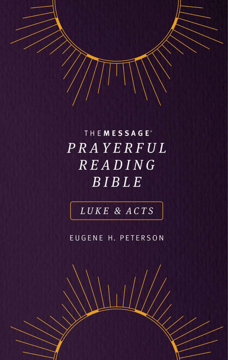

# THEMESSAGE<sup>®</sup> PRAYERFUL **READING BIBLE**

# LUKE & ACTS

EUGENE H. PETERSON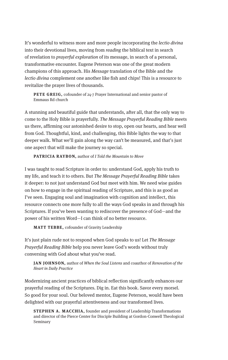It's wonderful to witness more and more people incorporating the *lectio divina* into their devotional lives, moving from *reading* the biblical text in search of revelation to *prayerful exploration* of its message, in search of a personal, transformative encounter. Eugene Peterson was one of the great modern champions of this approach. His *Message* translation of the Bible and the *lectio divina* complement one another like fish and chips! This is a resource to revitalize the prayer lives of thousands.

**PETE GREIG,** cofounder of 24-7 Prayer International and senior pastor of Emmaus Rd church

A stunning and beautiful guide that understands, after all, that the only way to come to the Holy Bible is prayerfully. *The Message Prayerful Reading Bible* meets us there, affirming our astonished desire to stop, open our hearts, and hear well from God. Thoughtful, kind, and challenging, this Bible lights the way to that deeper walk. What we'll gain along the way can't be measured, and that's just one aspect that will make the journey so special.

#### **PATRICIA RAYBON,** author of *I Told the Mountain to Move*

I was taught to read Scripture in order to: understand God, apply his truth to my life, and teach it to others. But *The Message Prayerful Reading Bible* takes it deeper: to not just understand God but meet with him. We need wise guides on how to engage in the spiritual reading of Scripture, and this is as good as I've seen. Engaging soul and imagination with cognition and intellect, this resource connects one more fully to all the ways God speaks in and through his Scriptures. If you've been wanting to rediscover the presence of God—and the power of his written Word—I can think of no better resource.

**MATT TEBBE,** cofounder of Gravity Leadership

It's just plain rude not to respond when God speaks to us! Let *The Message Prayerful Reading Bible* help you never leave God's words without truly conversing with God about what you've read.

**JAN JOHNSON,** author of *When the Soul Listens* and coauthor of *Renovation of the Heart in Daily Practice*

Modernizing ancient practices of biblical reflection significantly enhances our prayerful reading of the Scriptures. Dig in. Eat this book. Savor every morsel. So good for your soul. Our beloved mentor, Eugene Peterson, would have been delighted with our prayerful attentiveness and our transformed lives.

**STEPHEN A. MACCHIA,** founder and president of Leadership Transformations and director of the Pierce Center for Disciple Building at Gordon-Conwell Theological Seminary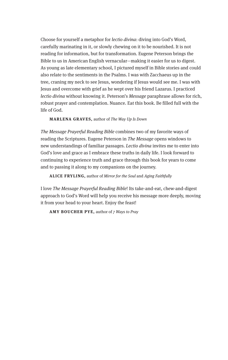Choose for yourself a metaphor for *lectio divina*: diving into God's Word, carefully marinating in it, or slowly chewing on it to be nourished. It is not reading for information, but for transformation. Eugene Peterson brings the Bible to us in American English vernacular—making it easier for us to digest. As young as late elementary school, I pictured myself in Bible stories and could also relate to the sentiments in the Psalms. I was with Zacchaeus up in the tree, craning my neck to see Jesus, wondering if Jesus would see me. I was with Jesus and overcome with grief as he wept over his friend Lazarus. I practiced *lectio divina* without knowing it. Peterson's *Message* paraphrase allows for rich, robust prayer and contemplation. Nuance. Eat this book. Be filled full with the life of God.

#### **MARLENA GRAVES,** author of *The Way Up Is Down*

*The Message Prayerful Reading Bible* combines two of my favorite ways of reading the Scriptures. Eugene Peterson in *The Message* opens windows to new understandings of familiar passages. *Lectio divina* invites me to enter into God's love and grace as I embrace these truths in daily life. I look forward to continuing to experience truth and grace through this book for years to come and to passing it along to my companions on the journey.

**ALICE FRYLING,** author of *Mirror for the Soul* and *Aging Faithfully*

I love *The Message Prayerful Reading Bible*! Its take-and-eat, chew-and-digest approach to God's Word will help you receive his message more deeply, moving it from your head to your heart. Enjoy the feast!

**AMY BOUCHER PYE,** author of *7 Ways to Pray*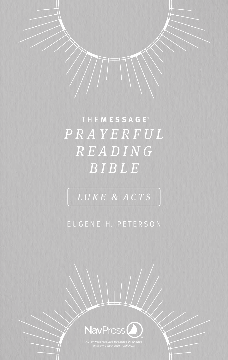

 THE **MESSAGE** ® *PRAYERFUL READING BIBLE*

*LUKE & ACTS*

EUGENE H. PETERSON



 $\left\langle \frac{1}{2} \right\rangle$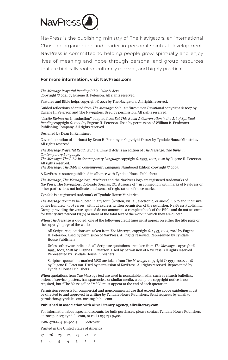

NavPress is the publishing ministry of The Navigators, an international Christian organization and leader in personal spiritual development. NavPress is committed to helping people grow spiritually and enjoy lives of meaning and hope through personal and group resources that are biblically rooted, culturally relevant, and highly practical.

#### **For more information, visit NavPress.com.**

*The Message Prayerful Reading Bible: Luke & Acts* Copyright © 2021 by Eugene H. Peterson. All rights reserved.

Features and Bible helps copyright © 2021 by The Navigators. All rights reserved.

Guided reflections adapted from *The Message: Solo: An Uncommon Devotional* copyright © 2007 by Eugene H. Peterson and The Navigators. Used by permission. All rights reserved.

"*Lectio Divina*: An Introduction" adapted from *Eat This Book: A Conversation in the Art of Spiritual Reading* copyright © 2006 by Eugene H. Peterson. Used by permission of William B. Eerdmans Publishing Company. All rights reserved.

Designed by Dean H. Renninger

Cover illustration of starburst by Dean H. Renninger. Copyright © 2021 by Tyndale House Ministries. All rights reserved.

*The Message Prayerful Reading Bible: Luke & Acts* is an edition of *The Message: The Bible in Contemporary Language*.

*The Message: The Bible in Contemporary Language* copyright © 1993, 2002, 2018 by Eugene H. Peterson. All rights reserved.

*The Message: The Bible in Contemporary Language* Numbered Edition copyright © 2005.

A NavPress resource published in alliance with Tyndale House Publishers

*The Message*, *The Message* logo, *NavPress* and the NavPress logo are registered trademarks of NavPress, The Navigators, Colorado Springs, CO. Absence of ® in connection with marks of NavPress or other parties does not indicate an absence of registration of those marks.

*Tyndale* is a registered trademark of Tyndale House Ministries.

*The Message* text may be quoted in any form (written, visual, electronic, or audio), up to and inclusive of five hundred (500) verses, without express written permission of the publisher, NavPress Publishing Group, providing the verses quoted do not amount to a complete book of the Bible and do not account for twenty-five percent  $(25%)$  or more of the total text of the work in which they are quoted.

When *The Message* is quoted, one of the following credit lines must appear on either the title page or the copyright page of the work:

All Scripture quotations are taken from *The Message*, copyright © 1993, 2002, 2018 by Eugene H. Peterson. Used by permission of NavPress. All rights reserved. Represented by Tyndale House Publishers.

Unless otherwise indicated, all Scripture quotations are taken from *The Message*, copyright © 1993, 2002, 2018 by Eugene H. Peterson. Used by permission of NavPress. All rights reserved. Represented by Tyndale House Publishers.

Scripture quotations marked MSG are taken from *The Message*, copyright © 1993, 2002, 2018 by Eugene H. Peterson. Used by permission of NavPress. All rights reserved. Represented by Tyndale House Publishers.

When quotations from *The Message* text are used in nonsalable media, such as church bulletins, orders of service, posters, transparencies, or similar media, a complete copyright notice is not required, but "The Message" or "MSG" must appear at the end of each quotation.

Permission requests for commercial and noncommercial use that exceed the above guidelines must be directed to and approved in writing by Tyndale House Publishers. Send requests by email to permission@tyndale.com. messagebible.com

#### **Published in association with Alive Literary Agency, aliveliterary.com**

For information about special discounts for bulk purchases, please contact Tyndale House Publishers at csresponse@tyndale.com, or call 1-855-277-9400.

ISBN 978-1-64158-400-5 Softcover

Printed in the United States of America

|  | 27 26 25 24 23 22 21 |  |  |
|--|----------------------|--|--|
|  | 7 6 5 4 3 2 1        |  |  |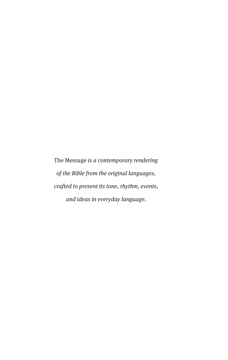The Message *is a contemporary rendering of the Bible from the original languages, crafted to present its tone, rhythm, events, and ideas in everyday language.*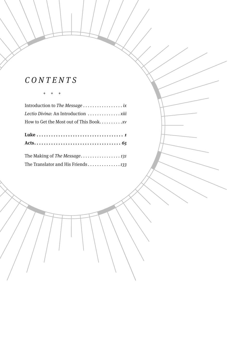# *CONTENTS*

 $+ + +$ 

| The Making of The Message131 |
|------------------------------|
|                              |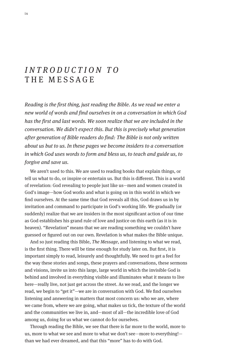## <span id="page-9-0"></span>*I N T R O D U C T I O N T O*  THE MESSAGE

*Reading is the first thing, just reading the Bible. As we read we enter a new world of words and find ourselves in on a conversation in which God has the first and last words. We soon realize that we are included in the conversation. We didn't expect this. But this is precisely what generation after generation of Bible readers do find: The Bible is not only written about us but to us. In these pages we become insiders to a conversation in which God uses words to form and bless us, to teach and guide us, to forgive and save us.*

We aren't used to this. We are used to reading books that explain things, or tell us what to do, or inspire or entertain us. But this is different. This is a world of revelation: God revealing to people just like us—men and women created in God's image—how God works and what is going on in this world in which we find ourselves. At the same time that God reveals all this, God draws us in by invitation and command to participate in God's working life. We gradually (or suddenly) realize that we are insiders in the most significant action of our time as God establishes his grand rule of love and justice on this earth (as it is in heaven). "Revelation" means that we are reading something we couldn't have guessed or figured out on our own. Revelation is what makes the Bible unique.

And so just reading this Bible, *The Message*, and listening to what we read, is the first thing. There will be time enough for study later on. But first, it is important simply to read, leisurely and thoughtfully. We need to get a feel for the way these stories and songs, these prayers and conversations, these sermons and visions, invite us into this large, large world in which the invisible God is behind and involved in everything visible and illuminates what it means to live here—really live, not just get across the street. As we read, and the longer we read, we begin to "get it"—we are in conversation with God. We find ourselves listening and answering in matters that most concern us: who we are, where we came from, where we are going, what makes us tick, the texture of the world and the communities we live in, and—most of all—the incredible love of God among us, doing for us what we cannot do for ourselves.

Through reading the Bible, we see that there is far more to the world, more to us, more to what we see and more to what we don't see—more to everything! than we had ever dreamed, and that this "more" has to do with God.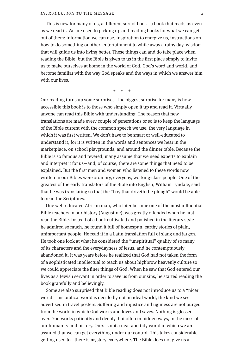This is new for many of us, a different sort of book—a book that reads us even as we read it. We are used to picking up and reading books for what we can get out of them: information we can use, inspiration to energize us, instructions on how to do something or other, entertainment to while away a rainy day, wisdom that will guide us into living better. These things can and do take place when reading the Bible, but the Bible is given to us in the first place simply to invite us to make ourselves at home in the world of God, God's word and world, and become familiar with the way God speaks and the ways in which we answer him with our lives.

 $++$ 

Our reading turns up some surprises. The biggest surprise for many is how accessible this book is to those who simply open it up and read it. Virtually anyone can read this Bible with understanding. The reason that new translations are made every couple of generations or so is to keep the language of the Bible current with the common speech we use, the very language in which it was first written. We don't have to be smart or well-educated to understand it, for it is written in the words and sentences we hear in the marketplace, on school playgrounds, and around the dinner table. Because the Bible is so famous and revered, many assume that we need experts to explain and interpret it for us—and, of course, there are some things that need to be explained. But the first men and women who listened to these words now written in our Bibles were ordinary, everyday, working-class people. One of the greatest of the early translators of the Bible into English, William Tyndale, said that he was translating so that the "boy that driveth the plough" would be able to read the Scriptures.

One well-educated African man, who later became one of the most influential Bible teachers in our history (Augustine), was greatly offended when he first read the Bible. Instead of a book cultivated and polished in the literary style he admired so much, he found it full of homespun, earthy stories of plain, unimportant people. He read it in a Latin translation full of slang and jargon. He took one look at what he considered the "unspiritual" quality of so many of its characters and the everydayness of Jesus, and he contemptuously abandoned it. It was years before he realized that God had not taken the form of a sophisticated intellectual to teach us about highbrow heavenly culture so we could appreciate the finer things of God. When he saw that God entered our lives as a Jewish servant in order to save us from our sins, he started reading the book gratefully and believingly.

Some are also surprised that Bible reading does not introduce us to a "nicer" world. This biblical world is decidedly not an ideal world, the kind we see advertised in travel posters. Suffering and injustice and ugliness are not purged from the world in which God works and loves and saves. Nothing is glossed over. God works patiently and deeply, but often in hidden ways, in the mess of our humanity and history. Ours is not a neat and tidy world in which we are assured that we can get everything under our control. This takes considerable getting used to—there is mystery everywhere. The Bible does not give us a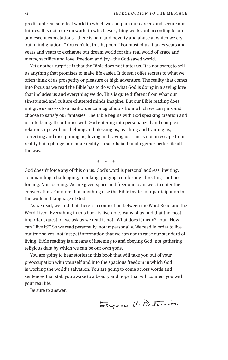predictable cause-effect world in which we can plan our careers and secure our futures. It is not a dream world in which everything works out according to our adolescent expectations—there is pain and poverty and abuse at which we cry out in indignation, "You can't let this happen!" For most of us it takes years and years and years to exchange our dream world for this real world of grace and mercy, sacrifice and love, freedom and joy—the God-saved world.

Yet another surprise is that the Bible does not flatter us. It is not trying to sell us anything that promises to make life easier. It doesn't offer secrets to what we often think of as prosperity or pleasure or high adventure. The reality that comes into focus as we read the Bible has to do with what God is doing in a saving love that includes us and everything we do. This is quite different from what our sin-stunted and culture-cluttered minds imagine. But our Bible reading does not give us access to a mail-order catalog of idols from which we can pick and choose to satisfy our fantasies. The Bible begins with God speaking creation and us into being. It continues with God entering into personalized and complex relationships with us, helping and blessing us, teaching and training us, correcting and disciplining us, loving and saving us. This is not an escape from reality but a plunge into more reality—a sacrificial but altogether better life all the way.

 $++$ 

God doesn't force any of this on us: God's word is personal address, inviting, commanding, challenging, rebuking, judging, comforting, directing—but not forcing. Not coercing. We are given space and freedom to answer, to enter the conversation. For more than anything else the Bible invites our participation in the work and language of God.

As we read, we find that there is a connection between the Word Read and the Word Lived. Everything in this book is live-able. Many of us find that the most important question we ask as we read is not "What does it mean?" but "How can I live it?" So we read personally, not impersonally. We read in order to live our true selves, not just get information that we can use to raise our standard of living. Bible reading is a means of listening to and obeying God, not gathering religious data by which we can be our own gods.

You are going to hear stories in this book that will take you out of your preoccupation with yourself and into the spacious freedom in which God is working the world's salvation. You are going to come across words and sentences that stab you awake to a beauty and hope that will connect you with your real life.

Be sure to answer.

Engene H Peterson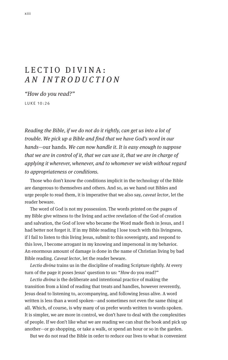## <span id="page-13-0"></span>LECTIO DIVINA: *AN INTRODUCTION*

*"How do you read?"* LUKE 10:26

*Reading the Bible, if we do not do it rightly, can get us into a lot of trouble. We pick up a Bible and find that we have God's word in our hands—*our hands*. We can now handle it. It is easy enough to suppose that we are in control of it, that we can use it, that we are in charge of applying it wherever, whenever, and to whomever we wish without regard to appropriateness or conditions.*

Those who don't know the conditions implicit in the technology of the Bible are dangerous to themselves and others. And so, as we hand out Bibles and urge people to read them, it is imperative that we also say, *caveat lector*, let the reader beware.

The word of God is not my possession. The words printed on the pages of my Bible give witness to the living and active revelation of the God of creation and salvation, the God of love who became the Word made flesh in Jesus, and I had better not forget it. If in my Bible reading I lose touch with this livingness, if I fail to listen to this living Jesus, submit to this sovereignty, and respond to this love, I become arrogant in my knowing and impersonal in my behavior. An enormous amount of damage is done in the name of Christian living by bad Bible reading. *Caveat lector*, let the reader beware.

*Lectio divina* trains us in the discipline of reading Scripture rightly. At every turn of the page it poses Jesus' question to us: "*How* do you read?"

*Lectio divina* is the deliberate and intentional practice of making the transition from a kind of reading that treats and handles, however reverently, Jesus dead to listening to, accompanying, and following Jesus alive. A word written is less than a word spoken—and sometimes not even the same thing at all. Which, of course, is why many of us prefer words written to words spoken. It is simpler, we are more in control, we don't have to deal with the complexities of people. If we don't like what we are reading we can shut the book and pick up another—or go shopping, or take a walk, or spend an hour or so in the garden.

But we do not read the Bible in order to reduce our lives to what is convenient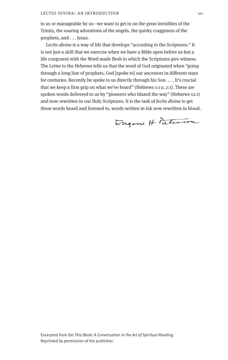to us or manageable by us—we want to get in on the great invisibles of the Trinity, the soaring adorations of the angels, the quirky cragginess of the prophets, and . . . Jesus.

*Lectio divina* is a way of life that develops "according to the Scriptures." It is not just a skill that we exercise when we have a Bible open before us but a life congruent with the Word made flesh to which the Scriptures give witness. The Letter to the Hebrews tells us that the word of God originated when "going through a long line of prophets, God [spoke to] our ancestors in different ways for centuries. Recently he spoke to us directly through his Son. . . . It's crucial that we keep a firm grip on what we've heard" (Hebrews 1:1-2; 2:1). These are spoken words delivered to us by "pioneers who blazed the way" (Hebrews 12:1) and now rewritten in our Holy Scriptures. It is the task of *lectio divina* to get those words heard and listened to, words written in ink now rewritten in blood.

Engene H Peterson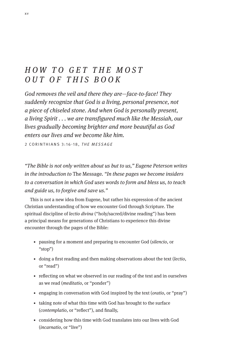## <span id="page-15-0"></span>*H O W T O G E T T H E M O S T OUT OF THIS BOOK*

*God removes the veil and there they are—face-to-face! They suddenly recognize that God is a living, personal presence, not a piece of chiseled stone. And when God is personally present, a living Spirit . . . we are transfigured much like the Messiah, our lives gradually becoming brighter and more beautiful as God enters our lives and we become like him.*

2 CORINTHIANS 3:16-18, *THE MESSAGE*

*"The Bible is not only written about us but to us," Eugene Peterson writes in the introduction to* The Message*. "In these pages we become insiders to a conversation in which God uses words to form and bless us, to teach and guide us, to forgive and save us."*

This is not a new idea from Eugene, but rather his expression of the ancient Christian understanding of how we encounter God through Scripture. The spiritual discipline of *lectio divina* ("holy/sacred/divine reading") has been a principal means for generations of Christians to experience this divine encounter through the pages of the Bible:

- pausing for a moment and preparing to encounter God (*silencio*, or "stop")
- doing a first reading and then making observations about the text (*lectio*, or "read")
- reflecting on what we observed in our reading of the text and in ourselves as we read (*meditatio*, or "ponder")
- engaging in conversation with God inspired by the text (*oratio*, or "pray")
- taking note of what this time with God has brought to the surface (*contemplatio*, or "reflect"), and finally,
- considering how this time with God translates into our lives with God (*incarnatio*, or "live")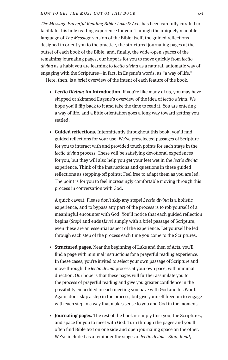*The Message Prayerful Reading Bible: Luke & Acts* has been carefully curated to facilitate this holy reading experience for you. Through the uniquely readable language of *The Message* version of the Bible itself, the guided reflections designed to orient you to the practice, the structured journaling pages at the outset of each book of the Bible, and, finally, the wide-open spaces of the remaining journaling pages, our hope is for you to move quickly from *lectio divina* as a habit you are learning to *lectio divina* as a natural, automatic way of engaging with the Scriptures—in fact, in Eugene's words, as "a way of life."

Here, then, is a brief overview of the intent of each feature of the book.

- **Lectio Divina: An Introduction.** If you're like many of us, you may have skipped or skimmed Eugene's overview of the idea of *lectio divina*. We hope you'll flip back to it and take the time to read it. You are entering a way of life, and a little orientation goes a long way toward getting you settled.
- **Guided reflections.** Intermittently throughout this book, you'll find guided reflections for your use. We've preselected passages of Scripture for you to interact with and provided touch points for each stage in the *lectio divina* process. These will be satisfying devotional experiences for you, but they will also help you get your feet wet in the *lectio divina* experience. Think of the instructions and questions in these guided reflections as stepping-off points: Feel free to adapt them as you are led. The point is for you to feel increasingly comfortable moving through this process in conversation with God.

A quick caveat: Please don't skip any steps! *Lectio divina* is a holistic experience, and to bypass any part of the process is to rob yourself of a meaningful encounter with God. You'll notice that each guided reflection begins (*Stop*) and ends (*Live*) simply with a brief passage of Scripture; even these are an essential aspect of the experience. Let yourself be led through each step of the process each time you come to the Scriptures.

- **Structured pages.** Near the beginning of Luke and then of Acts, you'll find a page with minimal instructions for a prayerful reading experience. In these cases, you're invited to select your own passage of Scripture and move through the *lectio divina* process at your own pace, with minimal direction. Our hope is that these pages will further assimilate you to the process of prayerful reading and give you greater confidence in the possibility embedded in each meeting you have with God and his Word. Again, don't skip a step in the process, but give yourself freedom to engage with each step in a way that makes sense to you and God in the moment.
- **Journaling pages.** The rest of the book is simply this: you, the Scriptures, and space for you to meet with God. Turn through the pages and you'll often find Bible text on one side and open journaling space on the other. We've included as a reminder the stages of *lectio divina*—*Stop*, *Read*,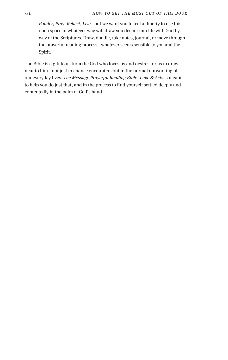*Ponder*, *Pray*, *Reflect*, *Live*—but we want you to feel at liberty to use this open space in whatever way will draw you deeper into life with God by way of the Scriptures. Draw, doodle, take notes, journal, or move through the prayerful reading process—whatever seems sensible to you and the Spirit.

The Bible is a gift to us from the God who loves us and desires for us to draw near to him—not just in chance encounters but in the normal outworking of our everyday lives. *The Message Prayerful Reading Bible: Luke & Acts* is meant to help you do just that, and in the process to find yourself settled deeply and contentedly in the palm of God's hand.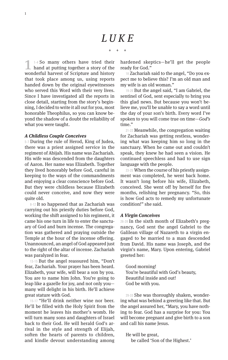# *LUKE*

 $+ + +$ 

<span id="page-19-0"></span>11-4 So many others have tried their hand at putting together a story of the wonderful harvest of Scripture and history that took place among us, using reports handed down by the original eyewitnesses who served this Word with their very lives. Since I have investigated all the reports in close detail, starting from the story's beginning, I decided to write it all out for you, most honorable Theophilus, so you can know beyond the shadow of a doubt the reliability of what you were taught.

#### **A Childless Couple Conceives**

5-7 During the rule of Herod, King of Judea, there was a priest assigned service in the regiment of Abijah. His name was Zachariah. His wife was descended from the daughters of Aaron. Her name was Elizabeth. Together they lived honorably before God, careful in keeping to the ways of the commandments and enjoying a clear conscience before God. But they were childless because Elizabeth could never conceive, and now they were quite old.

8-12 It so happened that as Zachariah was carrying out his priestly duties before God, working the shift assigned to his regiment, it came his one turn in life to enter the sanctuary of God and burn incense. The congregation was gathered and praying outside the Temple at the hour of the incense offering. Unannounced, an angel of God appeared just to the right of the altar of incense. Zachariah was paralyzed in fear.

13-15 But the angel reassured him, "Don't fear, Zachariah. Your prayer has been heard. Elizabeth, your wife, will bear a son by you. You are to name him John. You're going to leap like a gazelle for joy, and not only you many will delight in his birth. He'll achieve great stature with God.

15-17 "He'll drink neither wine nor beer. He'll be filled with the Holy Spirit from the moment he leaves his mother's womb. He will turn many sons and daughters of Israel back to their God. He will herald God's arrival in the style and strength of Elijah, soften the hearts of parents to children, and kindle devout understanding among hardened skeptics— he'll get the people ready for God."

18 Zachariah said to the angel, "Do you expect me to believe this? I'm an old man and my wife is an old woman."

19-20 But the angel said, "I am Gabriel, the sentinel of God, sent especially to bring you this glad news. But because you won't believe me, you'll be unable to say a word until the day of your son's birth. Every word I've spoken to you will come true on time—*God's* time."

21-22 Meanwhile, the congregation waiting for Zachariah was getting restless, wondering what was keeping him so long in the sanctuary. When he came out and couldn't speak, they knew he had seen a vision. He continued speechless and had to use sign language with the people.

23-25 When the course of his priestly assignment was completed, he went back home. It wasn't long before his wife, Elizabeth, conceived. She went off by herself for five months, relishing her pregnancy. "So, this is how God acts to remedy my unfortunate condition!" she said.

#### **A Virgin Conceives**

26-28 In the sixth month of Elizabeth's pregnancy, God sent the angel Gabriel to the Galilean village of Nazareth to a virgin engaged to be married to a man descended from David. His name was Joseph, and the virgin's name, Mary. Upon entering, Gabriel greeted her:

Good morning! You're beautiful with God's beauty, Beautiful inside and out! God be with you.

29-33 She was thoroughly shaken, wondering what was behind a greeting like that. But the angel assured her, "Mary, you have nothing to fear. God has a surprise for you: You will become pregnant and give birth to a son and call his name Jesus.

He will be great, be called 'Son of the Highest.'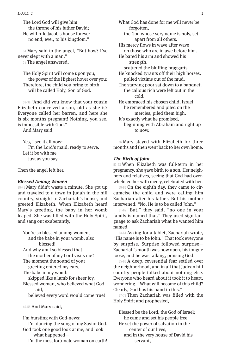#### *Luke 1* 2

The Lord God will give him the throne of his father David; He will rule Jacob's house forever no end, ever, to his kingdom."

34 Mary said to the angel, "But how? I've never slept with a man."

35 The angel answered,

The Holy Spirit will come upon you, the power of the Highest hover over you; Therefore, the child you bring to birth will be called Holy, Son of God.

36-38 "And did you know that your cousin Elizabeth conceived a son, old as she is? Everyone called her barren, and here she is six months pregnant! Nothing, you see, is impossible with God."

And Mary said,

Yes, I see it all now: I'm the Lord's maid, ready to serve. Let it be with me just as you say.

Then the angel left her.

#### **Blessed Among Women**

39-45 Mary didn't waste a minute. She got up and traveled to a town in Judah in the hill country, straight to Zachariah's house, and greeted Elizabeth. When Elizabeth heard Mary's greeting, the baby in her womb leaped. She was filled with the Holy Spirit, and sang out exuberantly,

You're so blessed among women, and the babe in your womb, also blessed! And why am I so blessed that the mother of my Lord visits me? The moment the sound of your greeting entered my ears, The babe in my womb skipped like a lamb for sheer joy. Blessed woman, who believed what God said, believed every word would come true! 46-55 And Mary said,

I'm bursting with God-news;

I'm dancing the song of my Savior God. God took one good look at me, and look what happened—

I'm the most fortunate woman on earth!

What God has done for me will never be forgotten,

the God whose very name is holy, set apart from all others.

His mercy flows in wave after wave on those who are in awe before him.

He bared his arm and showed his strength,

scattered the bluffing braggarts.

He knocked tyrants off their high horses, pulled victims out of the mud.

The starving poor sat down to a banquet; the callous rich were left out in the cold.

He embraced his chosen child, Israel; he remembered and piled on the mercies, piled them high.

It's exactly what he promised, beginning with Abraham and right up to now.

56 Mary stayed with Elizabeth for three months and then went back to her own home.

#### **The Birth of John**

57-58 When Elizabeth was full-term in her pregnancy, she gave birth to a son. Her neighbors and relatives, seeing that God had overwhelmed her with mercy, celebrated with her.

59-60 On the eighth day, they came to circumcise the child and were calling him Zachariah after his father. But his mother intervened: "No. He is to be called John."

61-62 "But," they said, "no one in your family is named that." They used sign language to ask Zachariah what he wanted him named.

63-64 Asking for a tablet, Zachariah wrote, "His name is to be John." That took everyone by surprise. Surprise followed surprise— Zachariah's mouth was now open, his tongue loose, and he was talking, praising God!

65-66 A deep, reverential fear settled over the neighborhood, and in all that Judean hill country people talked about nothing else. Everyone who heard about it took it to heart, wondering, "What will become of this child? Clearly, God has his hand in this."

67-79 Then Zachariah was filled with the Holy Spirit and prophesied,

Blessed be the Lord, the God of Israel; he came and set his people free.

He set the power of salvation in the center of our lives,

and in the very house of David his servant,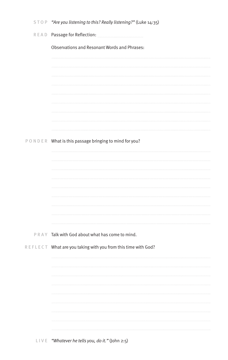| STOP | "Are you listening to this? Really listening?" (Luke 14:35)   |  |  |  |  |
|------|---------------------------------------------------------------|--|--|--|--|
| READ | Passage for Reflection: [1995] Passage for Reflection:        |  |  |  |  |
|      | <b>Observations and Resonant Words and Phrases:</b>           |  |  |  |  |
|      |                                                               |  |  |  |  |
|      |                                                               |  |  |  |  |
|      |                                                               |  |  |  |  |
|      |                                                               |  |  |  |  |
|      |                                                               |  |  |  |  |
|      |                                                               |  |  |  |  |
|      |                                                               |  |  |  |  |
|      | PONDER What is this passage bringing to mind for you?         |  |  |  |  |
|      |                                                               |  |  |  |  |
|      |                                                               |  |  |  |  |
|      |                                                               |  |  |  |  |
|      |                                                               |  |  |  |  |
|      |                                                               |  |  |  |  |
|      |                                                               |  |  |  |  |
|      |                                                               |  |  |  |  |
|      | PRAY Talk with God about what has come to mind.               |  |  |  |  |
|      | REFLECT What are you taking with you from this time with God? |  |  |  |  |
|      |                                                               |  |  |  |  |
|      |                                                               |  |  |  |  |
|      |                                                               |  |  |  |  |
|      |                                                               |  |  |  |  |
|      |                                                               |  |  |  |  |
|      |                                                               |  |  |  |  |
|      |                                                               |  |  |  |  |
|      |                                                               |  |  |  |  |

LIVE *"Whatever he tells you, do it."* (John 2:5)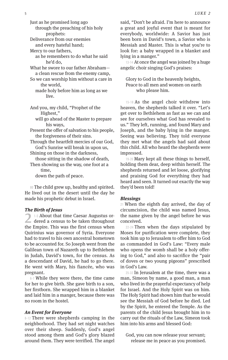- Just as he promised long ago through the preaching of his holy prophets:
- Deliverance from our enemies

and every hateful hand;

- Mercy to our fathers,
	- as he remembers to do what he said he'd do,
- What he swore to our father Abraham a clean rescue from the enemy camp,
- So we can worship him without a care in the world,
	- made holy before him as long as we live.
- And you, my child, "Prophet of the Highest,"
	- will go ahead of the Master to prepare his ways,
- Present the offer of salvation to his people, the forgiveness of their sins.
- Through the heartfelt mercies of our God, God's Sunrise will break in upon us,
- Shining on those in the darkness, those sitting in the shadow of death,
- Then showing us the way, one foot at a time,

down the path of peace.

80 The child grew up, healthy and spirited. He lived out in the desert until the day he made his prophetic debut in Israel.

#### **The Birth of Jesus**

1-5 About that time Caesar Augustus ordered a census to be taken throughout the Empire. This was the first census when Quirinius was governor of Syria. Everyone had to travel to his own ancestral hometown to be accounted for. So Joseph went from the Galilean town of Nazareth up to Bethlehem in Judah, David's town, for the census. As a descendant of David, he had to go there. He went with Mary, his fiancée, who was pregnant.

6-7 While they were there, the time came for her to give birth. She gave birth to a son, her firstborn. She wrapped him in a blanket and laid him in a manger, because there was no room in the hostel.

#### **An Event for Everyone**

8-12 There were shepherds camping in the neighborhood. They had set night watches over their sheep. Suddenly, God's angel stood among them and God's glory blazed around them. They were terrified. The angel said, "Don't be afraid. I'm here to announce a great and joyful event that is meant for everybody, worldwide: A Savior has just been born in David's town, a Savior who is Messiah and Master. This is what you're to look for: a baby wrapped in a blanket and lying in a manger."

13-14 At once the angel was joined by a huge angelic choir singing God's praises:

Glory to God in the heavenly heights, Peace to all men and women on earth who please him.

15-18 As the angel choir withdrew into heaven, the shepherds talked it over. "Let's get over to Bethlehem as fast as we can and see for ourselves what God has revealed to us." They left, running, and found Mary and Joseph, and the baby lying in the manger. Seeing was believing. They told everyone they met what the angels had said about this child. All who heard the shepherds were impressed.

19-20 Mary kept all these things to herself, holding them dear, deep within herself. The shepherds returned and let loose, glorifying and praising God for everything they had heard and seen. It turned out exactly the way they'd been told!

#### **Blessings**

21 When the eighth day arrived, the day of circumcision, the child was named Jesus, the name given by the angel before he was conceived.

22-24 Then when the days stipulated by Moses for purification were complete, they took him up to Jerusalem to offer him to God as commanded in God's Law: "Every male who opens the womb shall be a holy offering to God," and also to sacrifice the "pair of doves or two young pigeons" prescribed in God's Law.

25-32 In Jerusalem at the time, there was a man, Simeon by name, a good man, a man who lived in the prayerful expectancy of help for Israel. And the Holy Spirit was on him. The Holy Spirit had shown him that he would see the Messiah of God before he died. Led by the Spirit, he entered the Temple. As the parents of the child Jesus brought him in to carry out the rituals of the Law, Simeon took him into his arms and blessed God:

God, you can now release your servant; release me in peace as you promised.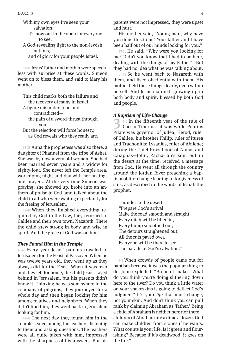- With my own eyes I've seen your salvation;
	- it's now out in the open for everyone to see:
- A God-revealing light to the non-Jewish nations,

and of glory for your people Israel.

33-35 Jesus' father and mother were speechless with surprise at these words. Simeon went on to bless them, and said to Mary his mother,

This child marks both the failure and the recovery of many in Israel,

A figure misunderstood and contradicted—

the pain of a sword-thrust through you—

But the rejection will force honesty, as God reveals who they really are.

36-38 Anna the prophetess was also there, a daughter of Phanuel from the tribe of Asher. She was by now a very old woman. She had been married seven years and a widow for eighty-four. She never left the Temple area, worshiping night and day with her fastings and prayers. At the very time Simeon was praying, she showed up, broke into an anthem of praise to God, and talked about the child to all who were waiting expectantly for the freeing of Jerusalem.

39-40 When they finished everything required by God in the Law, they returned to Galilee and their own town, Nazareth. There the child grew strong in body and wise in spirit. And the grace of God was on him.

#### **They Found Him in the Temple**

41-45 Every year Jesus' parents traveled to Jerusalem for the Feast of Passover. When he was twelve years old, they went up as they always did for the Feast. When it was over and they left for home, the child Jesus stayed behind in Jerusalem, but his parents didn't know it. Thinking he was somewhere in the company of pilgrims, they journeyed for a whole day and then began looking for him among relatives and neighbors. When they didn't find him, they went back to Jerusalem looking for him.

46-48 The next day they found him in the Temple seated among the teachers, listening to them and asking questions. The teachers were all quite taken with him, impressed with the sharpness of his answers. But his parents were not impressed; they were upset and hurt.

His mother said, "Young man, why have you done this to us? Your father and I have been half out of our minds looking for you."

49-50 He said, "Why were you looking for me? Didn't you know that I had to be here, dealing with the things of my Father?" But they had no idea what he was talking about.

51-52 So he went back to Nazareth with them, and lived obediently with them. His mother held these things dearly, deep within herself. And Jesus matured, growing up in both body and spirit, blessed by both God and people.

#### **A Baptism of Life-Change**

31-6 In the fifteenth year of the rule of Caesar Tiberius—it was while Pontius Pilate was governor of Judea; Herod, ruler of Galilee; his brother Philip, ruler of Iturea and Trachonitis; Lysanias, ruler of Abilene; during the Chief-Priesthood of Annas and Caiaphas— John, Zachariah's son, out in the desert at the time, received a message from God. He went all through the country around the Jordan River preaching a baptism of life-change leading to forgiveness of sins, as described in the words of Isaiah the prophet:

Thunder in the desert! "Prepare God's arrival! Make the road smooth and straight! Every ditch will be filled in, Every bump smoothed out, The detours straightened out, All the ruts paved over. Everyone will be there to see The parade of God's salvation."

7-9 When crowds of people came out for baptism because it was the popular thing to do, John exploded: "Brood of snakes! What do you think you're doing slithering down here to the river? Do you think a little water on your snakeskins is going to deflect God's judgment? It's your *life* that must change, not your skin. And don't think you can pull rank by claiming Abraham as 'father.' Being a child of Abraham is neither here nor there children of Abraham are a dime a dozen. God can make children from stones if he wants. What counts is your life. Is it green and flourishing? Because if it's deadwood, it goes on the fire."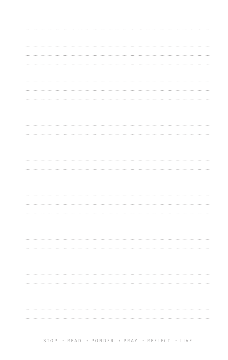#### $STOP + READ + PONDER + PRAY + REFLECT + LIVE$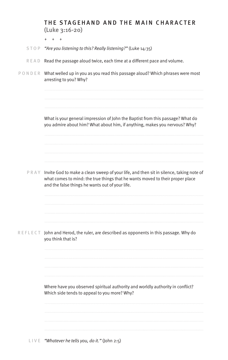|        | THE STAGEHAND AND THE MAIN CHARACTER<br>(Luke 3:16-20)                                                                                                                                                                     |
|--------|----------------------------------------------------------------------------------------------------------------------------------------------------------------------------------------------------------------------------|
|        | $+ + +$                                                                                                                                                                                                                    |
|        | STOP "Are you listening to this? Really listening?" (Luke 14:35)                                                                                                                                                           |
| READ   | Read the passage aloud twice, each time at a different pace and volume.                                                                                                                                                    |
| PONDER | What welled up in you as you read this passage aloud? Which phrases were most<br>arresting to you? Why?                                                                                                                    |
|        |                                                                                                                                                                                                                            |
|        | What is your general impression of John the Baptist from this passage? What do<br>you admire about him? What about him, if anything, makes you nervous? Why?                                                               |
| PRAY   | Invite God to make a clean sweep of your life, and then sit in silence, taking note of<br>what comes to mind: the true things that he wants moved to their proper place<br>and the false things he wants out of your life. |
|        | REFLECT John and Herod, the ruler, are described as opponents in this passage. Why do<br>you think that is?                                                                                                                |
|        | Where have you observed spiritual authority and worldly authority in conflict?<br>Which side tends to appeal to you more? Why?                                                                                             |
|        |                                                                                                                                                                                                                            |